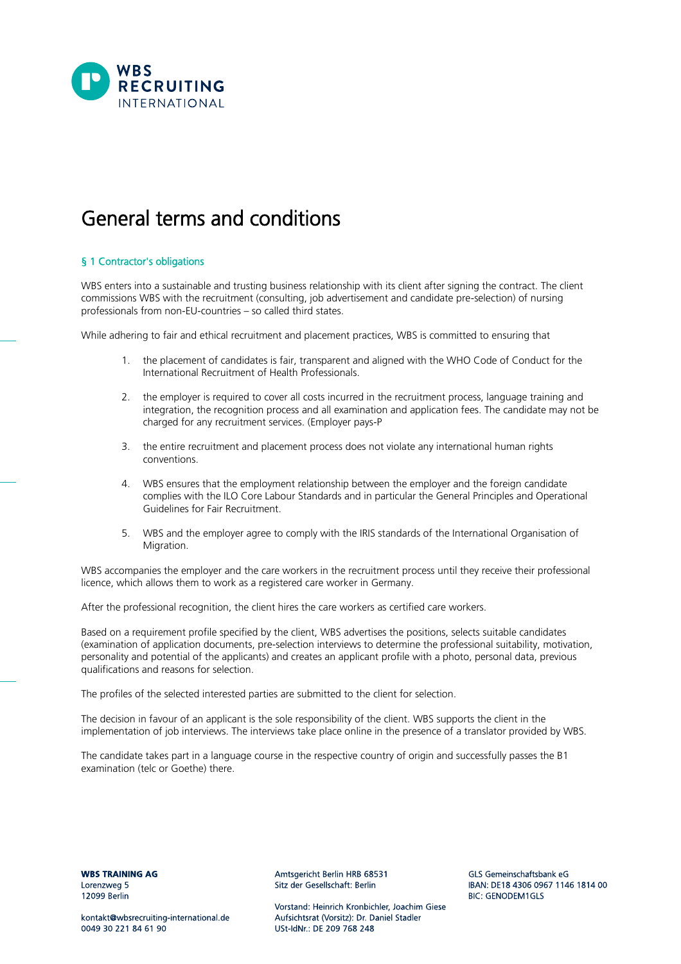

# General terms and conditions

## § 1 Contractor's obligations

WBS enters into a sustainable and trusting business relationship with its client after signing the contract. The client commissions WBS with the recruitment (consulting, job advertisement and candidate pre-selection) of nursing professionals from non-EU-countries – so called third states.

While adhering to fair and ethical recruitment and placement practices, WBS is committed to ensuring that

- 1. the placement of candidates is fair, transparent and aligned with the WHO Code of Conduct for the International Recruitment of Health Professionals.
- 2. the employer is required to cover all costs incurred in the recruitment process, language training and integration, the recognition process and all examination and application fees. The candidate may not be charged for any recruitment services. (Employer pays-P
- 3. the entire recruitment and placement process does not violate any international human rights conventions.
- 4. WBS ensures that the employment relationship between the employer and the foreign candidate complies with the ILO Core Labour Standards and in particular the General Principles and Operational Guidelines for Fair Recruitment.
- 5. WBS and the employer agree to comply with the IRIS standards of the International Organisation of Migration.

WBS accompanies the employer and the care workers in the recruitment process until they receive their professional licence, which allows them to work as a registered care worker in Germany.

After the professional recognition, the client hires the care workers as certified care workers.

Based on a requirement profile specified by the client, WBS advertises the positions, selects suitable candidates (examination of application documents, pre-selection interviews to determine the professional suitability, motivation, personality and potential of the applicants) and creates an applicant profile with a photo, personal data, previous qualifications and reasons for selection.

The profiles of the selected interested parties are submitted to the client for selection.

The decision in favour of an applicant is the sole responsibility of the client. WBS supports the client in the implementation of job interviews. The interviews take place online in the presence of a translator provided by WBS.

The candidate takes part in a language course in the respective country of origin and successfully passes the B1 examination (telc or Goethe) there.

**WBS TRAINING AG** Lorenzweg 5 12099 Berlin

kontakt@wbsrecruiting-international.de 0049 30 221 84 61 90

Amtsgericht Berlin HRB 68531 Sitz der Gesellschaft: Berlin

Vorstand: Heinrich Kronbichler, Joachim Giese Aufsichtsrat (Vorsitz): Dr. Daniel Stadler USt-IdNr: DE 209 768 248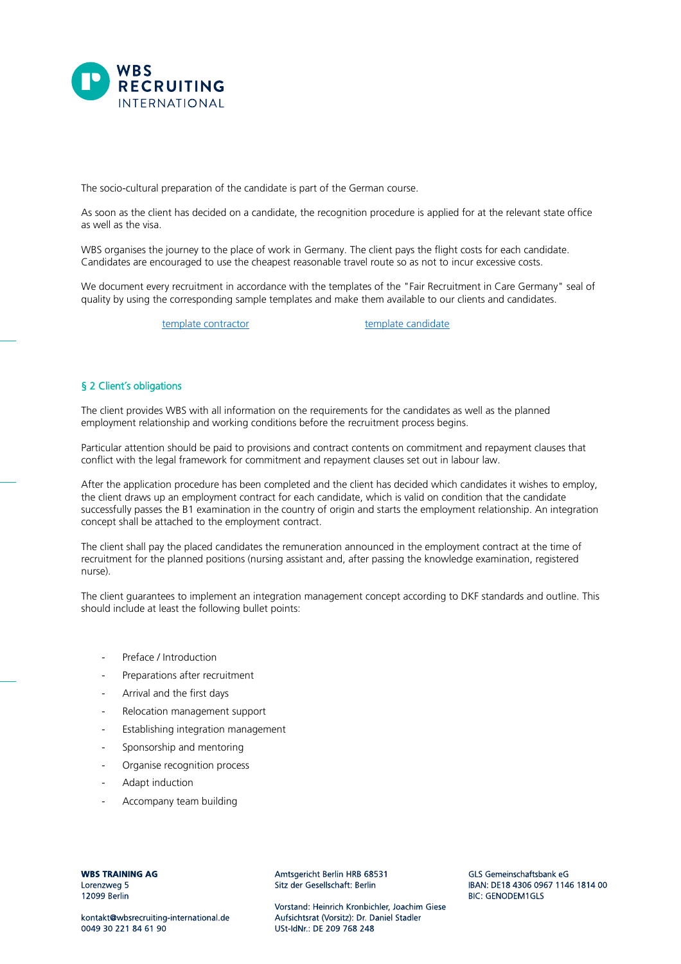

The socio-cultural preparation of the candidate is part of the German course.

As soon as the client has decided on a candidate, the recognition procedure is applied for at the relevant state office as well as the visa.

WBS organises the journey to the place of work in Germany. The client pays the flight costs for each candidate. Candidates are encouraged to use the cheapest reasonable travel route so as not to incur excessive costs.

We document every recruitment in accordance with the templates of the "Fair Recruitment in Care Germany" seal of quality by using the corresponding sample templates and make them available to our clients and candidates.

[template contractor](https://cdn.website-editor.net/s/a1d6600f83df447c85ec2bb1c8998610/files/uploaded/MustervorlagePB_4_011021.pdf?Expires=1641462509&Signature=m-f1b3fg84HCiPCrlRJ7qmmepqzzX1OmqYHXge3hka0ieSBBFRYEj81YRNT24mBu8IsYk9qRoUgS0uTvOxW0PJXpa7YL1gBGOPVrd1G0ir9rvRJPRspcf-WIxerJNbvTOpwN1zKAy8QYiqjj0sZuEDk66~W4iG7CZjNmo28u9YnIoKXWtH80vMApo3sKSmbYu3-FD6AqlLrKYf1yE1386NfMBgO8K0xpvcNcVHp0vD1~Pa6HBNHMGgYzYbnYM5CG7lzhiwzWyGC2Q3nJkQHzXnBldnGNjFtFNOxvlBg8RimNcZiHeWMwPm8YUVQiWLGImmzHqQqGvZawuoFt5H70QA__&Key-Pair-Id=K2NXBXLF010TJW) [template candidate](https://cdn.website-editor.net/s/a1d6600f83df447c85ec2bb1c8998610/files/uploaded/MustervorlagePB_3_en.pdf?Expires=1658040251&Signature=aeZr0Bqci7hRGwaAhlAZTjPm98HepkSgm1H4lpl~xaTxY7GVeVVzbfyhJYRG-0I5l9616rGtf-y3XIGRbdy4Cw7WVs7s8cWj5jyoqkrOjidpkQRc3aKhotjuUexC-lGl7vCe62iy0KfV8D-yrpi4302wvsx5hLguEK4Vnt~j8G5li72KIB7l~WgL8Qv0aTVvg9PuMq618wAnShKNcwXvG8WgMAbgoPXv2myI7pUBZA6PrkkGu9VaUHQb9Ev4I8laGzJPAQYzOi8i4sp9fJzU7kF1dpZwROAwuWyPaOMMxQ2ZG0Z570FJAu0VNt2oBSz9gKLCJEJ~qQUEphyfhifGVg__&Key-Pair-Id=K2NXBXLF010TJW)

# § 2 Client´s obligations

The client provides WBS with all information on the requirements for the candidates as well as the planned employment relationship and working conditions before the recruitment process begins.

Particular attention should be paid to provisions and contract contents on commitment and repayment clauses that conflict with the legal framework for commitment and repayment clauses set out in labour law.

After the application procedure has been completed and the client has decided which candidates it wishes to employ, the client draws up an employment contract for each candidate, which is valid on condition that the candidate successfully passes the B1 examination in the country of origin and starts the employment relationship. An integration concept shall be attached to the employment contract.

The client shall pay the placed candidates the remuneration announced in the employment contract at the time of recruitment for the planned positions (nursing assistant and, after passing the knowledge examination, registered nurse).

The client guarantees to implement an integration management concept according to DKF standards and outline. This should include at least the following bullet points:

- Preface / Introduction
- Preparations after recruitment
- Arrival and the first days
- Relocation management support
- Establishing integration management
- Sponsorship and mentoring
- Organise recognition process
- Adapt induction
- Accompany team building

**WBS TRAINING AG** Lorenzweg 5 12099 Berlin

Amtsgericht Berlin HRB 68531 Sitz der Gesellschaft: Berlin

Vorstand: Heinrich Kronbichler, Joachim Giese Aufsichtsrat (Vorsitz): Dr. Daniel Stadler USt-IdNr: DE 209 768 248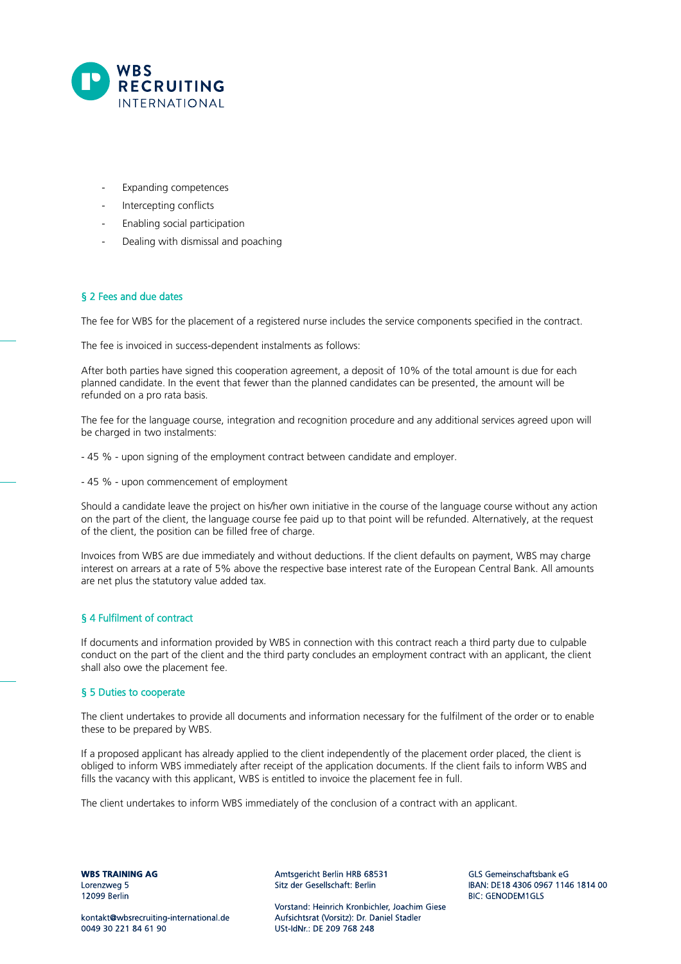

- Expanding competences
- Intercepting conflicts
- Enabling social participation
- Dealing with dismissal and poaching

# § 2 Fees and due dates

The fee for WBS for the placement of a registered nurse includes the service components specified in the contract.

The fee is invoiced in success-dependent instalments as follows:

After both parties have signed this cooperation agreement, a deposit of 10% of the total amount is due for each planned candidate. In the event that fewer than the planned candidates can be presented, the amount will be refunded on a pro rata basis.

The fee for the language course, integration and recognition procedure and any additional services agreed upon will be charged in two instalments:

- 45 % - upon signing of the employment contract between candidate and employer.

- 45 % - upon commencement of employment

Should a candidate leave the project on his/her own initiative in the course of the language course without any action on the part of the client, the language course fee paid up to that point will be refunded. Alternatively, at the request of the client, the position can be filled free of charge.

Invoices from WBS are due immediately and without deductions. If the client defaults on payment, WBS may charge interest on arrears at a rate of 5% above the respective base interest rate of the European Central Bank. All amounts are net plus the statutory value added tax.

# § 4 Fulfilment of contract

If documents and information provided by WBS in connection with this contract reach a third party due to culpable conduct on the part of the client and the third party concludes an employment contract with an applicant, the client shall also owe the placement fee.

#### § 5 Duties to cooperate

The client undertakes to provide all documents and information necessary for the fulfilment of the order or to enable these to be prepared by WBS.

If a proposed applicant has already applied to the client independently of the placement order placed, the client is obliged to inform WBS immediately after receipt of the application documents. If the client fails to inform WBS and fills the vacancy with this applicant, WBS is entitled to invoice the placement fee in full.

The client undertakes to inform WBS immediately of the conclusion of a contract with an applicant.

**WBS TRAINING AG** Lorenzweg 5 12099 Berlin

Amtsgericht Berlin HRB 68531 Sitz der Gesellschaft: Berlin

Vorstand: Heinrich Kronbichler, Joachim Giese Aufsichtsrat (Vorsitz): Dr. Daniel Stadler USt-IdNr: DE 209 768 248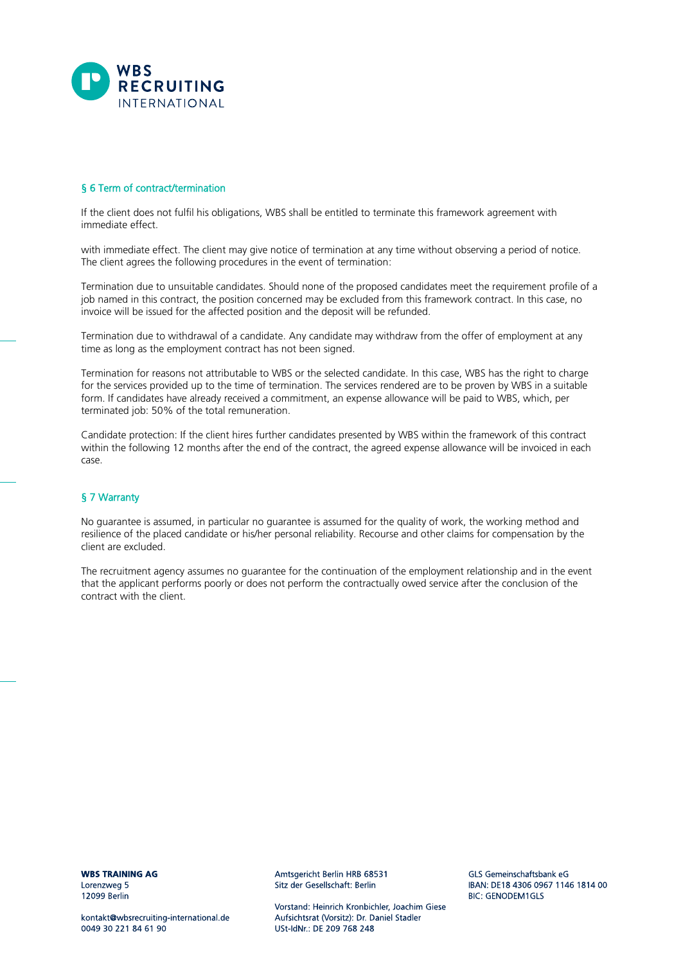

# § 6 Term of contract/termination

If the client does not fulfil his obligations, WBS shall be entitled to terminate this framework agreement with immediate effect.

with immediate effect. The client may give notice of termination at any time without observing a period of notice. The client agrees the following procedures in the event of termination:

Termination due to unsuitable candidates. Should none of the proposed candidates meet the requirement profile of a job named in this contract, the position concerned may be excluded from this framework contract. In this case, no invoice will be issued for the affected position and the deposit will be refunded.

Termination due to withdrawal of a candidate. Any candidate may withdraw from the offer of employment at any time as long as the employment contract has not been signed.

Termination for reasons not attributable to WBS or the selected candidate. In this case, WBS has the right to charge for the services provided up to the time of termination. The services rendered are to be proven by WBS in a suitable form. If candidates have already received a commitment, an expense allowance will be paid to WBS, which, per terminated job: 50% of the total remuneration.

Candidate protection: If the client hires further candidates presented by WBS within the framework of this contract within the following 12 months after the end of the contract, the agreed expense allowance will be invoiced in each case.

# § 7 Warranty

No guarantee is assumed, in particular no guarantee is assumed for the quality of work, the working method and resilience of the placed candidate or his/her personal reliability. Recourse and other claims for compensation by the client are excluded.

The recruitment agency assumes no guarantee for the continuation of the employment relationship and in the event that the applicant performs poorly or does not perform the contractually owed service after the conclusion of the contract with the client.

**WBS TRAINING AG** Lorenzweg 5 12099 Berlin

kontakt@wbsrecruiting-international.de 0049 30 221 84 61 90

Amtsgericht Berlin HRB 68531 Sitz der Gesellschaft: Berlin

Vorstand: Heinrich Kronbichler, Joachim Giese Aufsichtsrat (Vorsitz): Dr. Daniel Stadler USt-IdNr: DE 209 768 248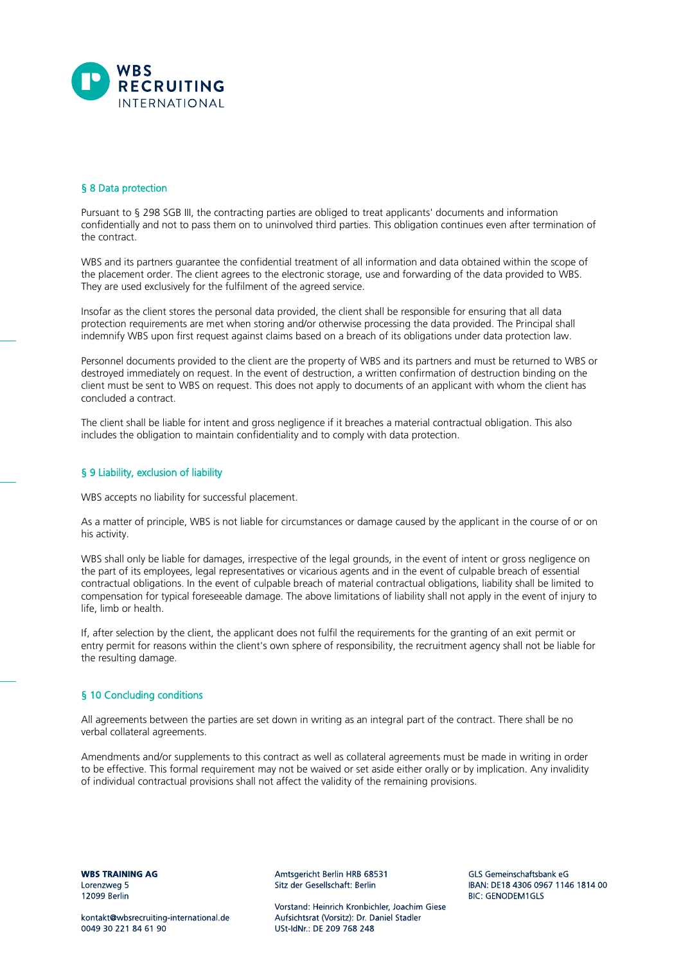

## § 8 Data protection

Pursuant to § 298 SGB III, the contracting parties are obliged to treat applicants' documents and information confidentially and not to pass them on to uninvolved third parties. This obligation continues even after termination of the contract.

WBS and its partners guarantee the confidential treatment of all information and data obtained within the scope of the placement order. The client agrees to the electronic storage, use and forwarding of the data provided to WBS. They are used exclusively for the fulfilment of the agreed service.

Insofar as the client stores the personal data provided, the client shall be responsible for ensuring that all data protection requirements are met when storing and/or otherwise processing the data provided. The Principal shall indemnify WBS upon first request against claims based on a breach of its obligations under data protection law.

Personnel documents provided to the client are the property of WBS and its partners and must be returned to WBS or destroyed immediately on request. In the event of destruction, a written confirmation of destruction binding on the client must be sent to WBS on request. This does not apply to documents of an applicant with whom the client has concluded a contract.

The client shall be liable for intent and gross negligence if it breaches a material contractual obligation. This also includes the obligation to maintain confidentiality and to comply with data protection.

## § 9 Liability, exclusion of liability

WBS accepts no liability for successful placement.

As a matter of principle, WBS is not liable for circumstances or damage caused by the applicant in the course of or on his activity.

WBS shall only be liable for damages, irrespective of the legal grounds, in the event of intent or gross negligence on the part of its employees, legal representatives or vicarious agents and in the event of culpable breach of essential contractual obligations. In the event of culpable breach of material contractual obligations, liability shall be limited to compensation for typical foreseeable damage. The above limitations of liability shall not apply in the event of injury to life, limb or health.

If, after selection by the client, the applicant does not fulfil the requirements for the granting of an exit permit or entry permit for reasons within the client's own sphere of responsibility, the recruitment agency shall not be liable for the resulting damage.

## § 10 Concluding conditions

All agreements between the parties are set down in writing as an integral part of the contract. There shall be no verbal collateral agreements.

Amendments and/or supplements to this contract as well as collateral agreements must be made in writing in order to be effective. This formal requirement may not be waived or set aside either orally or by implication. Any invalidity of individual contractual provisions shall not affect the validity of the remaining provisions.

**WBS TRAINING AG** Lorenzweg 5 12099 Berlin

kontakt@wbsrecruiting-international.de 0049 30 221 84 61 90

Amtsgericht Berlin HRB 68531 Sitz der Gesellschaft: Berlin

Vorstand: Heinrich Kronbichler, Joachim Giese Aufsichtsrat (Vorsitz): Dr. Daniel Stadler USt-IdNr: DE 209 768 248